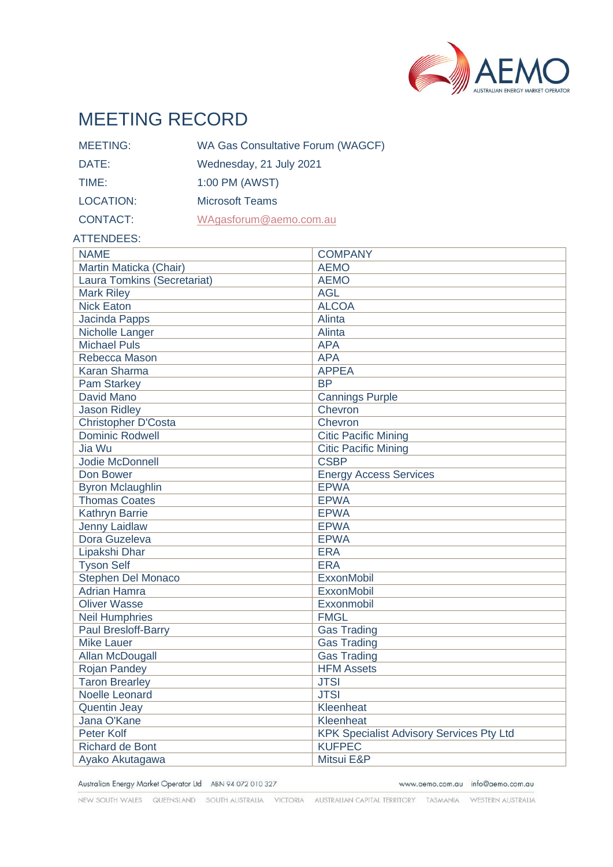

# MEETING RECORD

| <b>MEETING:</b> | <b>WA Gas Consultative Forum (WAGCF)</b> |
|-----------------|------------------------------------------|
| DATE:           | Wednesday, 21 July 2021                  |
| TIME:           | 1:00 PM (AWST)                           |
| LOCATION:       | <b>Microsoft Teams</b>                   |
| <b>CONTACT:</b> | WAgasforum@aemo.com.au                   |

#### ATTENDEES:

| <b>NAME</b>                 | <b>COMPANY</b>                           |
|-----------------------------|------------------------------------------|
| Martin Maticka (Chair)      | <b>AEMO</b>                              |
| Laura Tomkins (Secretariat) | <b>AEMO</b>                              |
| <b>Mark Riley</b>           | <b>AGL</b>                               |
| <b>Nick Eaton</b>           | <b>ALCOA</b>                             |
| <b>Jacinda Papps</b>        | Alinta                                   |
| Nicholle Langer             | Alinta                                   |
| <b>Michael Puls</b>         | <b>APA</b>                               |
| Rebecca Mason               | <b>APA</b>                               |
| <b>Karan Sharma</b>         | <b>APPEA</b>                             |
| <b>Pam Starkey</b>          | <b>BP</b>                                |
| David Mano                  | <b>Cannings Purple</b>                   |
| <b>Jason Ridley</b>         | Chevron                                  |
| Christopher D'Costa         | Chevron                                  |
| <b>Dominic Rodwell</b>      | <b>Citic Pacific Mining</b>              |
| Jia Wu                      | <b>Citic Pacific Mining</b>              |
| <b>Jodie McDonnell</b>      | <b>CSBP</b>                              |
| Don Bower                   | <b>Energy Access Services</b>            |
| <b>Byron Mclaughlin</b>     | <b>EPWA</b>                              |
| <b>Thomas Coates</b>        | <b>EPWA</b>                              |
| <b>Kathryn Barrie</b>       | <b>EPWA</b>                              |
| <b>Jenny Laidlaw</b>        | <b>EPWA</b>                              |
| Dora Guzeleva               | <b>EPWA</b>                              |
| Lipakshi Dhar               | <b>ERA</b>                               |
| <b>Tyson Self</b>           | <b>ERA</b>                               |
| <b>Stephen Del Monaco</b>   | <b>ExxonMobil</b>                        |
| <b>Adrian Hamra</b>         | <b>ExxonMobil</b>                        |
| <b>Oliver Wasse</b>         | Exxonmobil                               |
| <b>Neil Humphries</b>       | <b>FMGL</b>                              |
| Paul Bresloff-Barry         | <b>Gas Trading</b>                       |
| <b>Mike Lauer</b>           | <b>Gas Trading</b>                       |
| <b>Allan McDougall</b>      | <b>Gas Trading</b>                       |
| <b>Rojan Pandey</b>         | <b>HFM Assets</b>                        |
| <b>Taron Brearley</b>       | <b>JTSI</b>                              |
| Noelle Leonard              | <b>JTSI</b>                              |
| <b>Quentin Jeay</b>         | Kleenheat                                |
| Jana O'Kane                 | Kleenheat                                |
| <b>Peter Kolf</b>           | KPK Specialist Advisory Services Pty Ltd |
| <b>Richard de Bont</b>      | <b>KUFPEC</b>                            |
| Ayako Akutagawa             | Mitsui E&P                               |

Australian Energy Market Operator Ltd ABN 94 072 010 327

www.aemo.com.au info@aemo.com.au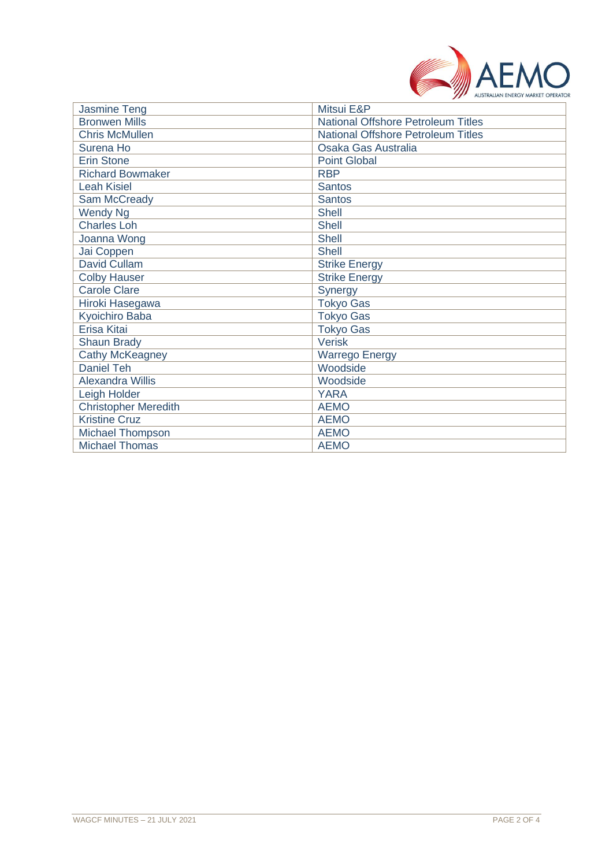

| <b>Jasmine Teng</b>         | Mitsui E&P                                |
|-----------------------------|-------------------------------------------|
| <b>Bronwen Mills</b>        | <b>National Offshore Petroleum Titles</b> |
| <b>Chris McMullen</b>       | <b>National Offshore Petroleum Titles</b> |
| Surena Ho                   | Osaka Gas Australia                       |
| <b>Erin Stone</b>           | <b>Point Global</b>                       |
| <b>Richard Bowmaker</b>     | <b>RBP</b>                                |
| <b>Leah Kisiel</b>          | <b>Santos</b>                             |
| Sam McCready                | <b>Santos</b>                             |
| <b>Wendy Ng</b>             | <b>Shell</b>                              |
| <b>Charles Loh</b>          | <b>Shell</b>                              |
| Joanna Wong                 | <b>Shell</b>                              |
| Jai Coppen                  | <b>Shell</b>                              |
| David Cullam                | <b>Strike Energy</b>                      |
| <b>Colby Hauser</b>         | <b>Strike Energy</b>                      |
| <b>Carole Clare</b>         | Synergy                                   |
| Hiroki Hasegawa             | <b>Tokyo Gas</b>                          |
| <b>Kyoichiro Baba</b>       | <b>Tokyo Gas</b>                          |
| Erisa Kitai                 | <b>Tokyo Gas</b>                          |
| <b>Shaun Brady</b>          | <b>Verisk</b>                             |
| Cathy McKeagney             | <b>Warrego Energy</b>                     |
| <b>Daniel Teh</b>           | Woodside                                  |
| <b>Alexandra Willis</b>     | Woodside                                  |
| Leigh Holder                | <b>YARA</b>                               |
| <b>Christopher Meredith</b> | <b>AEMO</b>                               |
| <b>Kristine Cruz</b>        | <b>AEMO</b>                               |
| Michael Thompson            | <b>AEMO</b>                               |
| <b>Michael Thomas</b>       | <b>AEMO</b>                               |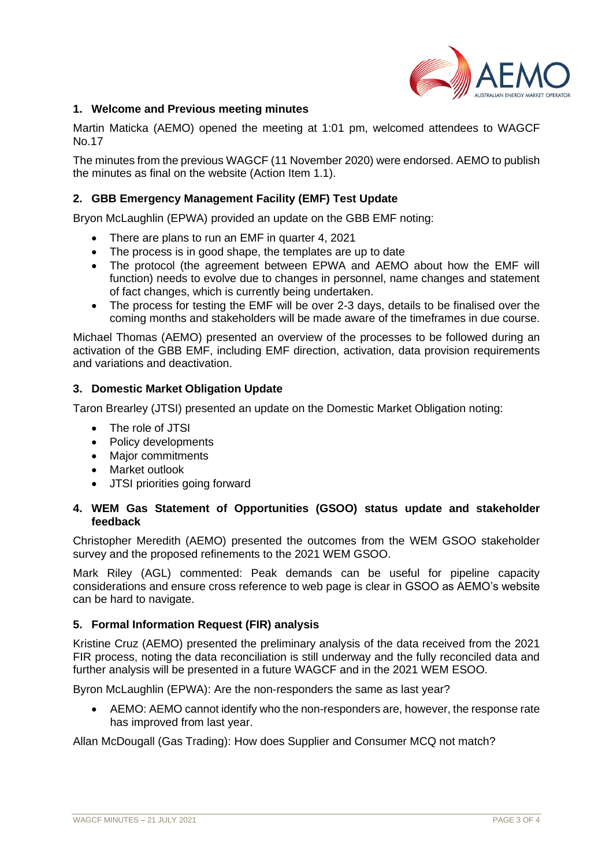

## **1. Welcome and Previous meeting minutes**

Martin Maticka (AEMO) opened the meeting at 1:01 pm, welcomed attendees to WAGCF No.17

The minutes from the previous WAGCF (11 November 2020) were endorsed. AEMO to publish the minutes as final on the website (Action Item 1.1).

## **2. GBB Emergency Management Facility (EMF) Test Update**

Bryon McLaughlin (EPWA) provided an update on the GBB EMF noting:

- There are plans to run an EMF in quarter 4, 2021
- The process is in good shape, the templates are up to date
- The protocol (the agreement between EPWA and AEMO about how the EMF will function) needs to evolve due to changes in personnel, name changes and statement of fact changes, which is currently being undertaken.
- The process for testing the EMF will be over 2-3 days, details to be finalised over the coming months and stakeholders will be made aware of the timeframes in due course.

Michael Thomas (AEMO) presented an overview of the processes to be followed during an activation of the GBB EMF, including EMF direction, activation, data provision requirements and variations and deactivation.

## **3. Domestic Market Obligation Update**

Taron Brearley (JTSI) presented an update on the Domestic Market Obligation noting:

- The role of JTSI
- Policy developments
- Major commitments
- Market outlook
- JTSI priorities going forward

## **4. WEM Gas Statement of Opportunities (GSOO) status update and stakeholder feedback**

Christopher Meredith (AEMO) presented the outcomes from the WEM GSOO stakeholder survey and the proposed refinements to the 2021 WEM GSOO.

Mark Riley (AGL) commented: Peak demands can be useful for pipeline capacity considerations and ensure cross reference to web page is clear in GSOO as AEMO's website can be hard to navigate.

## **5. Formal Information Request (FIR) analysis**

Kristine Cruz (AEMO) presented the preliminary analysis of the data received from the 2021 FIR process, noting the data reconciliation is still underway and the fully reconciled data and further analysis will be presented in a future WAGCF and in the 2021 WEM ESOO.

Byron McLaughlin (EPWA): Are the non-responders the same as last year?

• AEMO: AEMO cannot identify who the non-responders are, however, the response rate has improved from last year.

Allan McDougall (Gas Trading): How does Supplier and Consumer MCQ not match?